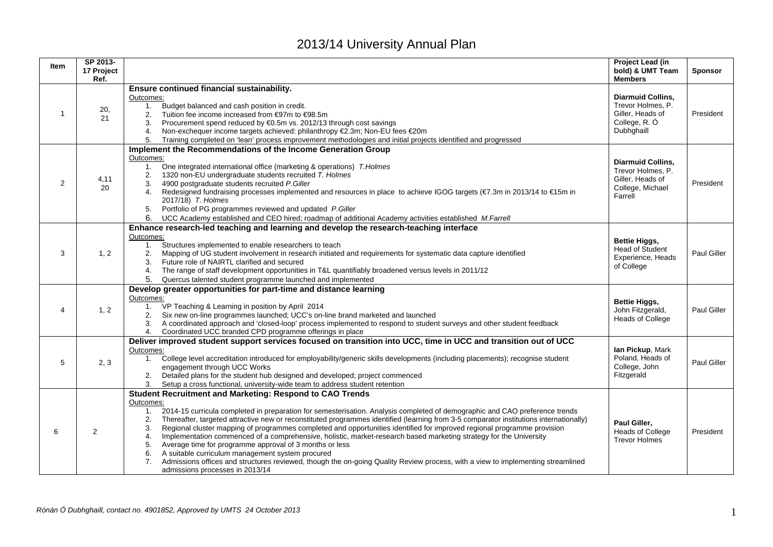## 2013/14 University Annual Plan

| <b>Item</b>    | SP 2013-<br>17 Project<br>Ref. |                                                                                                                                                                                                                                                                                                                                                                                                                                                                                                                                                                                                                                                                                                                                                                                                                                                                                                                                       | Project Lead (in<br>bold) & UMT Team<br><b>Members</b>                                           | <b>Sponsor</b> |
|----------------|--------------------------------|---------------------------------------------------------------------------------------------------------------------------------------------------------------------------------------------------------------------------------------------------------------------------------------------------------------------------------------------------------------------------------------------------------------------------------------------------------------------------------------------------------------------------------------------------------------------------------------------------------------------------------------------------------------------------------------------------------------------------------------------------------------------------------------------------------------------------------------------------------------------------------------------------------------------------------------|--------------------------------------------------------------------------------------------------|----------------|
| $\mathbf 1$    | 20,<br>21                      | Ensure continued financial sustainability.<br>Outcomes:<br>1. Budget balanced and cash position in credit.<br>2. Tuition fee income increased from €97m to €98.5m<br>Procurement spend reduced by €0.5m vs. 2012/13 through cost savings<br>3.<br>Non-exchequer income targets achieved: philanthropy €2.3m; Non-EU fees €20m<br>4.<br>5. Training completed on 'lean' process improvement methodologies and initial projects identified and progressed                                                                                                                                                                                                                                                                                                                                                                                                                                                                               | <b>Diarmuid Collins.</b><br>Trevor Holmes, P.<br>Giller. Heads of<br>College, R. Ó<br>Dubhghaill | President      |
| $\overline{2}$ | 4,11<br>20                     | Implement the Recommendations of the Income Generation Group<br>Outcomes:<br>One integrated international office (marketing & operations) T.Holmes<br>1.<br>1320 non-EU undergraduate students recruited T. Holmes<br>2.<br>4900 postgraduate students recruited P.Giller<br>3.<br>Redesigned fundraising processes implemented and resources in place to achieve IGOG targets (€7.3m in 2013/14 to €15m in<br>4.<br>2017/18) T. Holmes<br>Portfolio of PG programmes reviewed and updated P.Giller<br>5.<br>6.<br>UCC Academy established and CEO hired; roadmap of additional Academy activities established M.Farrell                                                                                                                                                                                                                                                                                                              | <b>Diarmuid Collins.</b><br>Trevor Holmes, P.<br>Giller, Heads of<br>College, Michael<br>Farrell | President      |
| 3              | 1, 2                           | Enhance research-led teaching and learning and develop the research-teaching interface<br>Outcomes:<br>Structures implemented to enable researchers to teach<br>1.<br>Mapping of UG student involvement in research initiated and requirements for systematic data capture identified<br>2.<br>Future role of NAIRTL clarified and secured<br>3.<br>The range of staff development opportunities in T&L quantifiably broadened versus levels in 2011/12<br>4.<br>5.<br>Quercus talented student programme launched and implemented                                                                                                                                                                                                                                                                                                                                                                                                    | <b>Bettie Higgs,</b><br><b>Head of Student</b><br>Experience, Heads<br>of College                | Paul Giller    |
| 4              | 1, 2                           | Develop greater opportunities for part-time and distance learning<br>Outcomes:<br>1. VP Teaching & Learning in position by April 2014<br>Six new on-line programmes launched; UCC's on-line brand marketed and launched<br>A coordinated approach and 'closed-loop' process implemented to respond to student surveys and other student feedback<br>3.<br>Coordinated UCC branded CPD programme offerings in place<br>4.                                                                                                                                                                                                                                                                                                                                                                                                                                                                                                              | <b>Bettie Higgs,</b><br>John Fitzgerald,<br><b>Heads of College</b>                              | Paul Giller    |
| 5              | 2.3                            | Deliver improved student support services focused on transition into UCC, time in UCC and transition out of UCC<br>Outcomes:<br>1. College level accreditation introduced for employability/generic skills developments (including placements); recognise student<br>engagement through UCC Works<br>Detailed plans for the student hub designed and developed; project commenced<br>2.<br>Setup a cross functional, university-wide team to address student retention<br>3.                                                                                                                                                                                                                                                                                                                                                                                                                                                          | lan Pickup, Mark<br>Poland, Heads of<br>College, John<br>Fitzgerald                              | Paul Giller    |
| 6              | $\overline{2}$                 | <b>Student Recruitment and Marketing: Respond to CAO Trends</b><br>Outcomes:<br>2014-15 curricula completed in preparation for semesterisation. Analysis completed of demographic and CAO preference trends<br>1.<br>Thereafter, targeted attractive new or reconstituted programmes identified (learning from 3-5 comparator institutions internationally)<br>2.<br>Regional cluster mapping of programmes completed and opportunities identified for improved regional programme provision<br>3.<br>Implementation commenced of a comprehensive, holistic, market-research based marketing strategy for the University<br>4.<br>Average time for programme approval of 3 months or less<br>5.<br>A suitable curriculum management system procured<br>6.<br>Admissions offices and structures reviewed, though the on-going Quality Review process, with a view to implementing streamlined<br>7.<br>admissions processes in 2013/14 | Paul Giller.<br>Heads of College<br><b>Trevor Holmes</b>                                         | President      |